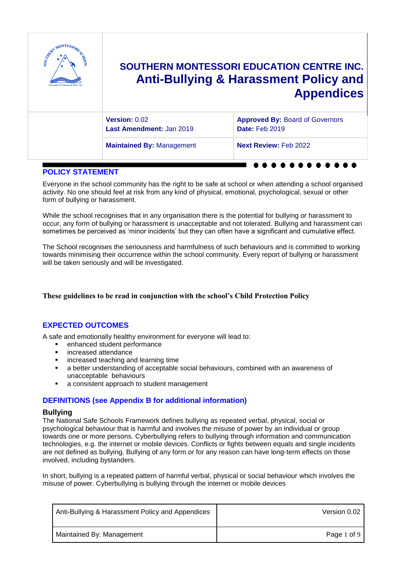

### **POLICY STATEMENT**

Everyone in the school community has the right to be safe at school or when attending a school organised activity. No one should feel at risk from any kind of physical, emotional, psychological, sexual or other form of bullying or harassment.

While the school recognises that in any organisation there is the potential for bullying or harassment to occur, any form of bullying or harassment is unacceptable and not tolerated. Bullying and harassment can sometimes be perceived as 'minor incidents' but they can often have a significant and cumulative effect.

The School recognises the seriousness and harmfulness of such behaviours and is committed to working towards minimising their occurrence within the school community. Every report of bullying or harassment will be taken seriously and will be investigated.

### **These guidelines to be read in conjunction with the school's Child Protection Policy**

## **EXPECTED OUTCOMES**

A safe and emotionally healthy environment for everyone will lead to:

- enhanced student performance
- **·** increased attendance
- **EXEC** increased teaching and learning time
- a better understanding of acceptable social behaviours, combined with an awareness of unacceptable behaviours
- a consistent approach to student management

### **DEFINITIONS (see Appendix B for additional information)**

### **Bullying**

The National Safe Schools Framework defines bullying as repeated verbal, physical, social or psychological behaviour that is harmful and involves the misuse of power by an individual or group towards one or more persons. Cyberbullying refers to bullying through information and communication technologies, e.g. the internet or mobile devices. Conflicts or fights between equals and single incidents are not defined as bullying. Bullying of any form or for any reason can have long‐term effects on those involved, including bystanders.

In short, bullying is a repeated pattern of harmful verbal, physical or social behaviour which involves the misuse of power. Cyberbullying is bullying through the internet or mobile devices

| Anti-Bullying & Harassment Policy and Appendices | Version 0.02 |
|--------------------------------------------------|--------------|
| Maintained By: Management                        | Page 1 of 9  |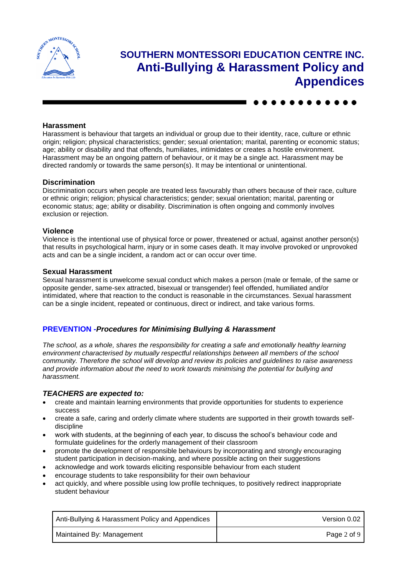

### **Harassment**

Harassment is behaviour that targets an individual or group due to their identity, race, culture or ethnic origin; religion; physical characteristics; gender; sexual orientation; marital, parenting or economic status; age; ability or disability and that offends, humiliates, intimidates or creates a hostile environment. Harassment may be an ongoing pattern of behaviour, or it may be a single act. Harassment may be directed randomly or towards the same person(s). It may be intentional or unintentional.

#### **Discrimination**

Discrimination occurs when people are treated less favourably than others because of their race, culture or ethnic origin; religion; physical characteristics; gender; sexual orientation; marital, parenting or economic status; age; ability or disability. Discrimination is often ongoing and commonly involves exclusion or rejection.

#### **Violence**

Violence is the intentional use of physical force or power, threatened or actual, against another person(s) that results in psychological harm, injury or in some cases death. It may involve provoked or unprovoked acts and can be a single incident, a random act or can occur over time.

#### **Sexual Harassment**

Sexual harassment is unwelcome sexual conduct which makes a person (male or female, of the same or opposite gender, same-sex attracted, bisexual or transgender) feel offended, humiliated and/or intimidated, where that reaction to the conduct is reasonable in the circumstances. Sexual harassment can be a single incident, repeated or continuous, direct or indirect, and take various forms.

### **PREVENTION -***Procedures for Minimising Bullying & Harassment*

*The school, as a whole, shares the responsibility for creating a safe and emotionally healthy learning environment characterised by mutually respectful relationships between all members of the school community. Therefore the school will develop and review its policies and guidelines to raise awareness and provide information about the need to work towards minimising the potential for bullying and harassment.*

### *TEACHERS are expected to:*

- create and maintain learning environments that provide opportunities for students to experience success
- create a safe, caring and orderly climate where students are supported in their growth towards selfdiscipline
- work with students, at the beginning of each year, to discuss the school's behaviour code and formulate guidelines for the orderly management of their classroom
- promote the development of responsible behaviours by incorporating and strongly encouraging student participation in decision-making, and where possible acting on their suggestions
- acknowledge and work towards eliciting responsible behaviour from each student
- encourage students to take responsibility for their own behaviour
- act quickly, and where possible using low profile techniques, to positively redirect inappropriate student behaviour

| Anti-Bullying & Harassment Policy and Appendices | Version 0.02 |
|--------------------------------------------------|--------------|
| Maintained By: Management                        | Page 2 of 9  |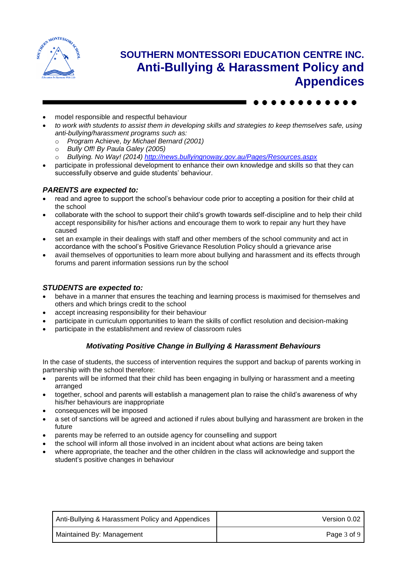

- model responsible and respectful behaviour
- *to work with students to assist them in developing skills and strategies to keep themselves safe, using anti-bullying/harassment programs such as:*
	- o *Program* Achieve, *by Michael Bernard (2001)*
	- o *Bully Off! By Paula Galey (2005)*
	- o *Bullying. No Way! (2014)<http://news.bullyingnoway.gov.au/Pages/Resources.aspx>*
- participate in professional development to enhance their own knowledge and skills so that they can successfully observe and guide students' behaviour.

### *PARENTS are expected to:*

- read and agree to support the school's behaviour code prior to accepting a position for their child at the school
- collaborate with the school to support their child's growth towards self-discipline and to help their child accept responsibility for his/her actions and encourage them to work to repair any hurt they have caused
- set an example in their dealings with staff and other members of the school community and act in accordance with the school's Positive Grievance Resolution Policy should a grievance arise
- avail themselves of opportunities to learn more about bullying and harassment and its effects through forums and parent information sessions run by the school

### *STUDENTS are expected to:*

- behave in a manner that ensures the teaching and learning process is maximised for themselves and others and which brings credit to the school
- accept increasing responsibility for their behaviour
- participate in curriculum opportunities to learn the skills of conflict resolution and decision-making
- participate in the establishment and review of classroom rules

### *Motivating Positive Change in Bullying & Harassment Behaviours*

In the case of students, the success of intervention requires the support and backup of parents working in partnership with the school therefore:

- parents will be informed that their child has been engaging in bullying or harassment and a meeting arranged
- together, school and parents will establish a management plan to raise the child's awareness of why his/her behaviours are inappropriate
- consequences will be imposed
- a set of sanctions will be agreed and actioned if rules about bullying and harassment are broken in the future
- parents may be referred to an outside agency for counselling and support
- the school will inform all those involved in an incident about what actions are being taken
- where appropriate, the teacher and the other children in the class will acknowledge and support the student's positive changes in behaviour

| Anti-Bullying & Harassment Policy and Appendices | Version 0.02 |
|--------------------------------------------------|--------------|
| Maintained By: Management                        | Page 3 of 9  |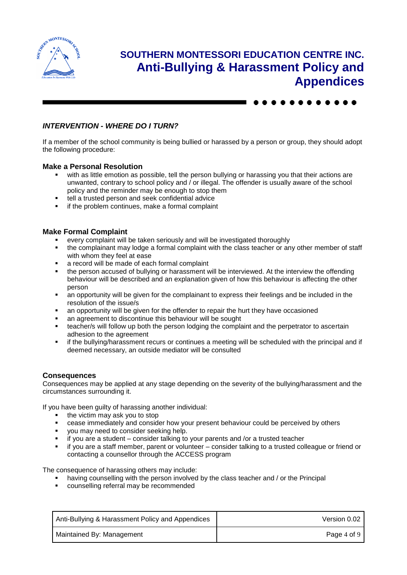



If a member of the school community is being bullied or harassed by a person or group, they should adopt the following procedure:

### **Make a Personal Resolution**

- with as little emotion as possible, tell the person bullying or harassing you that their actions are unwanted, contrary to school policy and / or illegal. The offender is usually aware of the school policy and the reminder may be enough to stop them
- tell a trusted person and seek confidential advice
- if the problem continues, make a formal complaint

### **Make Formal Complaint**

- every complaint will be taken seriously and will be investigated thoroughly
- the complainant may lodge a formal complaint with the class teacher or any other member of staff with whom they feel at ease
- a record will be made of each formal complaint
- the person accused of bullying or harassment will be interviewed. At the interview the offending behaviour will be described and an explanation given of how this behaviour is affecting the other person
- an opportunity will be given for the complainant to express their feelings and be included in the resolution of the issue/s
- an opportunity will be given for the offender to repair the hurt they have occasioned
- an agreement to discontinue this behaviour will be sought
- teacher/s will follow up both the person lodging the complaint and the perpetrator to ascertain adhesion to the agreement
- if the bullying/harassment recurs or continues a meeting will be scheduled with the principal and if deemed necessary, an outside mediator will be consulted

### **Consequences**

Consequences may be applied at any stage depending on the severity of the bullying/harassment and the circumstances surrounding it.

If you have been guilty of harassing another individual:

- $\blacksquare$  the victim may ask you to stop
- cease immediately and consider how your present behaviour could be perceived by others
- **vou may need to consider seeking help.**
- if you are a student consider talking to your parents and /or a trusted teacher
- if you are a staff member, parent or volunteer consider talking to a trusted colleague or friend or contacting a counsellor through the ACCESS program

The consequence of harassing others may include:

- having counselling with the person involved by the class teacher and / or the Principal
- counselling referral may be recommended

| Anti-Bullying & Harassment Policy and Appendices | Version 0.02 |
|--------------------------------------------------|--------------|
| Maintained By: Management                        | Page 4 of 9  |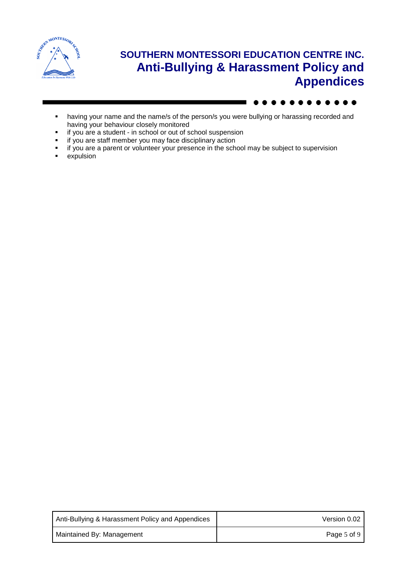

- **•** having your name and the name/s of the person/s you were bullying or harassing recorded and having your behaviour closely monitored
- if you are a student in school or out of school suspension
- if you are staff member you may face disciplinary action
- if you are a parent or volunteer your presence in the school may be subject to supervision
- expulsion

| Anti-Bullying & Harassment Policy and Appendices | Version 0.02 |
|--------------------------------------------------|--------------|
| Maintained By: Management                        | Page 5 of 9  |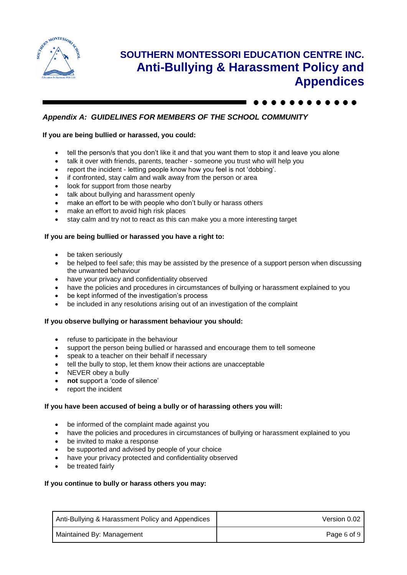

## *Appendix A: GUIDELINES FOR MEMBERS OF THE SCHOOL COMMUNITY*

### **If you are being bullied or harassed, you could:**

- tell the person/s that you don't like it and that you want them to stop it and leave you alone
- talk it over with friends, parents, teacher someone you trust who will help you
- report the incident letting people know how you feel is not 'dobbing'.
- if confronted, stay calm and walk away from the person or area
- look for support from those nearby
- talk about bullying and harassment openly
- make an effort to be with people who don't bully or harass others
- make an effort to avoid high risk places
- stay calm and try not to react as this can make you a more interesting target

### **If you are being bullied or harassed you have a right to:**

- be taken seriously
- be helped to feel safe; this may be assisted by the presence of a support person when discussing the unwanted behaviour
- have your privacy and confidentiality observed
- have the policies and procedures in circumstances of bullying or harassment explained to you
- be kept informed of the investigation's process
- be included in any resolutions arising out of an investigation of the complaint

### **If you observe bullying or harassment behaviour you should:**

- refuse to participate in the behaviour
- support the person being bullied or harassed and encourage them to tell someone
- speak to a teacher on their behalf if necessary
- tell the bully to stop, let them know their actions are unacceptable
- NEVER obey a bully
- **not** support a 'code of silence'
- report the incident

### **If you have been accused of being a bully or of harassing others you will:**

- be informed of the complaint made against you
- have the policies and procedures in circumstances of bullying or harassment explained to you
- be invited to make a response
- be supported and advised by people of your choice
- have your privacy protected and confidentiality observed
- be treated fairly

### **If you continue to bully or harass others you may:**

| Anti-Bullying & Harassment Policy and Appendices | Version 0.02 |
|--------------------------------------------------|--------------|
| Maintained By: Management                        | Page 6 of 9  |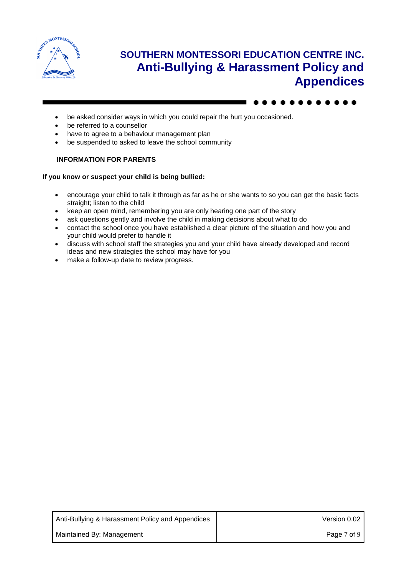

- be asked consider ways in which you could repair the hurt you occasioned.
- be referred to a counsellor
- have to agree to a behaviour management plan
- be suspended to asked to leave the school community

### **INFORMATION FOR PARENTS**

#### **If you know or suspect your child is being bullied:**

- encourage your child to talk it through as far as he or she wants to so you can get the basic facts straight; listen to the child
- keep an open mind, remembering you are only hearing one part of the story
- ask questions gently and involve the child in making decisions about what to do
- contact the school once you have established a clear picture of the situation and how you and your child would prefer to handle it
- discuss with school staff the strategies you and your child have already developed and record ideas and new strategies the school may have for you
- make a follow-up date to review progress.

| Anti-Bullying & Harassment Policy and Appendices | Version 0.02 |
|--------------------------------------------------|--------------|
| Maintained By: Management                        | Page 7 of 9  |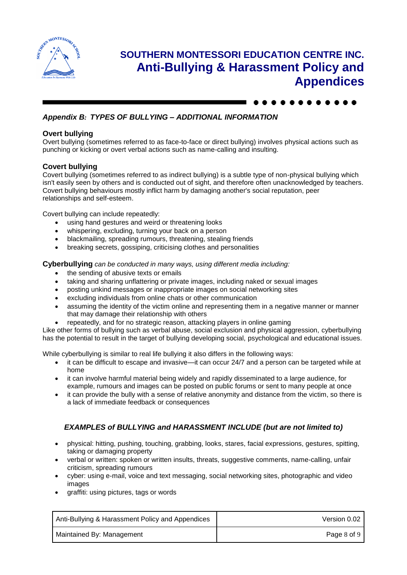

## *Appendix B: TYPES OF BULLYING – ADDITIONAL INFORMATION*

### **Overt bullying**

Overt bullying (sometimes referred to as face-to-face or direct bullying) involves physical actions such as punching or kicking or overt verbal actions such as name-calling and insulting.

### **Covert bullying**

Covert bullying (sometimes referred to as indirect bullying) is a subtle type of non-physical bullying which isn't easily seen by others and is conducted out of sight, and therefore often unacknowledged by teachers. Covert bullying behaviours mostly inflict harm by damaging another's social reputation, peer relationships and self-esteem.

Covert bullying can include repeatedly:

- using hand gestures and weird or threatening looks
- whispering, excluding, turning your back on a person
- blackmailing, spreading rumours, threatening, stealing friends
- breaking secrets, gossiping, criticising clothes and personalities

**Cyberbullying** *can be conducted in many ways, using different media including:*

- the sending of abusive texts or emails
- taking and sharing unflattering or private images, including naked or sexual images
- posting unkind messages or inappropriate images on social networking sites
- excluding individuals from online chats or other communication
- assuming the identity of the victim online and representing them in a negative manner or manner that may damage their relationship with others
- repeatedly, and for no strategic reason, attacking players in online gaming

Like other forms of bullying such as verbal abuse, social exclusion and physical aggression, cyberbullying has the potential to result in the target of bullying developing social, psychological and educational issues.

While cyberbullying is similar to real life bullying it also differs in the following ways:

- it can be difficult to escape and invasive—it can occur 24/7 and a person can be targeted while at home
- it can involve harmful material being widely and rapidly disseminated to a large audience, for example, rumours and images can be posted on public forums or sent to many people at once
- it can provide the bully with a sense of relative anonymity and distance from the victim, so there is a lack of immediate feedback or consequences

## *EXAMPLES of BULLYING and HARASSMENT INCLUDE (but are not limited to)*

- physical: hitting, pushing, touching, grabbing, looks, stares, facial expressions, gestures, spitting, taking or damaging property
- verbal or written: spoken or written insults, threats, suggestive comments, name-calling, unfair criticism, spreading rumours
- cyber: using e-mail, voice and text messaging, social networking sites, photographic and video images
- graffiti: using pictures, tags or words

| Anti-Bullying & Harassment Policy and Appendices | Version 0.02 |
|--------------------------------------------------|--------------|
| Maintained By: Management                        | Page 8 of 9  |